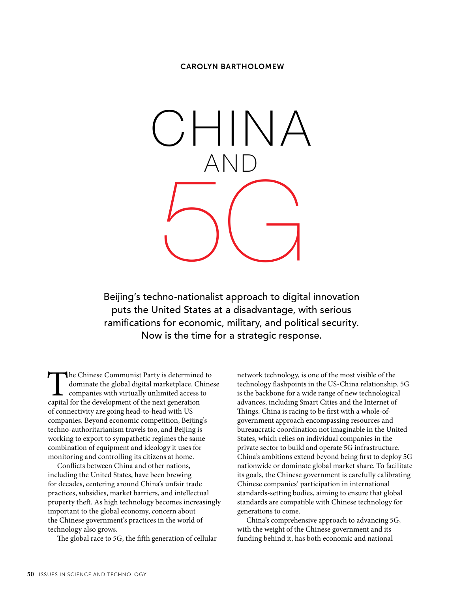#### CAROLYN BARTHOLOMEW



Beijing's techno-nationalist approach to digital innovation puts the United States at a disadvantage, with serious ramifications for economic, military, and political security. Now is the time for a strategic response.

The Chinese Communist Party is determined to dominate the global digital marketplace. Chinese companies with virtually unlimited access to capital for the development of the next generation of connectivity are going head-to-head with US companies. Beyond economic competition, Beijing's techno-authoritarianism travels too, and Beijing is working to export to sympathetic regimes the same combination of equipment and ideology it uses for monitoring and controlling its citizens at home.

Conflicts between China and other nations, including the United States, have been brewing for decades, centering around China's unfair trade practices, subsidies, market barriers, and intellectual property theft. As high technology becomes increasingly important to the global economy, concern about the Chinese government's practices in the world of technology also grows.

The global race to 5G, the fifth generation of cellular

network technology, is one of the most visible of the technology flashpoints in the US-China relationship. 5G is the backbone for a wide range of new technological advances, including Smart Cities and the Internet of Things. China is racing to be first with a whole-ofgovernment approach encompassing resources and bureaucratic coordination not imaginable in the United States, which relies on individual companies in the private sector to build and operate 5G infrastructure. China's ambitions extend beyond being first to deploy 5G nationwide or dominate global market share. To facilitate its goals, the Chinese government is carefully calibrating Chinese companies' participation in international standards-setting bodies, aiming to ensure that global standards are compatible with Chinese technology for generations to come.

China's comprehensive approach to advancing 5G, with the weight of the Chinese government and its funding behind it, has both economic and national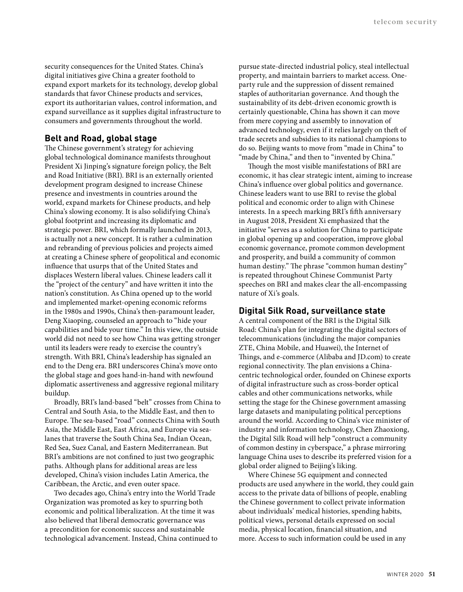security consequences for the United States. China's digital initiatives give China a greater foothold to expand export markets for its technology, develop global standards that favor Chinese products and services, export its authoritarian values, control information, and expand surveillance as it supplies digital infrastructure to consumers and governments throughout the world.

## **Belt and Road, global stage**

The Chinese government's strategy for achieving global technological dominance manifests throughout President Xi Jinping's signature foreign policy, the Belt and Road Initiative (BRI). BRI is an externally oriented development program designed to increase Chinese presence and investments in countries around the world, expand markets for Chinese products, and help China's slowing economy. It is also solidifying China's global footprint and increasing its diplomatic and strategic power. BRI, which formally launched in 2013, is actually not a new concept. It is rather a culmination and rebranding of previous policies and projects aimed at creating a Chinese sphere of geopolitical and economic influence that usurps that of the United States and displaces Western liberal values. Chinese leaders call it the "project of the century" and have written it into the nation's constitution. As China opened up to the world and implemented market-opening economic reforms in the 1980s and 1990s, China's then-paramount leader, Deng Xiaoping, counseled an approach to "hide your capabilities and bide your time." In this view, the outside world did not need to see how China was getting stronger until its leaders were ready to exercise the country's strength. With BRI, China's leadership has signaled an end to the Deng era. BRI underscores China's move onto the global stage and goes hand-in-hand with newfound diplomatic assertiveness and aggressive regional military buildup.

Broadly, BRI's land-based "belt" crosses from China to Central and South Asia, to the Middle East, and then to Europe. The sea-based "road" connects China with South Asia, the Middle East, East Africa, and Europe via sealanes that traverse the South China Sea, Indian Ocean, Red Sea, Suez Canal, and Eastern Mediterranean. But BRI's ambitions are not confined to just two geographic paths. Although plans for additional areas are less developed, China's vision includes Latin America, the Caribbean, the Arctic, and even outer space.

Two decades ago, China's entry into the World Trade Organization was promoted as key to spurring both economic and political liberalization. At the time it was also believed that liberal democratic governance was a precondition for economic success and sustainable technological advancement. Instead, China continued to pursue state-directed industrial policy, steal intellectual property, and maintain barriers to market access. Oneparty rule and the suppression of dissent remained staples of authoritarian governance. And though the sustainability of its debt-driven economic growth is certainly questionable, China has shown it can move from mere copying and assembly to innovation of advanced technology, even if it relies largely on theft of trade secrets and subsidies to its national champions to do so. Beijing wants to move from "made in China" to "made by China," and then to "invented by China."

Though the most visible manifestations of BRI are economic, it has clear strategic intent, aiming to increase China's influence over global politics and governance. Chinese leaders want to use BRI to revise the global political and economic order to align with Chinese interests. In a speech marking BRI's fifth anniversary in August 2018, President Xi emphasized that the initiative "serves as a solution for China to participate in global opening up and cooperation, improve global economic governance, promote common development and prosperity, and build a community of common human destiny." The phrase "common human destiny" is repeated throughout Chinese Communist Party speeches on BRI and makes clear the all-encompassing nature of Xi's goals.

## **Digital Silk Road, surveillance state**

A central component of the BRI is the Digital Silk Road: China's plan for integrating the digital sectors of telecommunications (including the major companies ZTE, China Mobile, and Huawei), the Internet of Things, and e-commerce (Alibaba and JD.com) to create regional connectivity. The plan envisions a Chinacentric technological order, founded on Chinese exports of digital infrastructure such as cross-border optical cables and other communications networks, while setting the stage for the Chinese government amassing large datasets and manipulating political perceptions around the world. According to China's vice minister of industry and information technology, Chen Zhaoxiong, the Digital Silk Road will help "construct a community of common destiny in cyberspace," a phrase mirroring language China uses to describe its preferred vision for a global order aligned to Beijing's liking.

Where Chinese 5G equipment and connected products are used anywhere in the world, they could gain access to the private data of billions of people, enabling the Chinese government to collect private information about individuals' medical histories, spending habits, political views, personal details expressed on social media, physical location, financial situation, and more. Access to such information could be used in any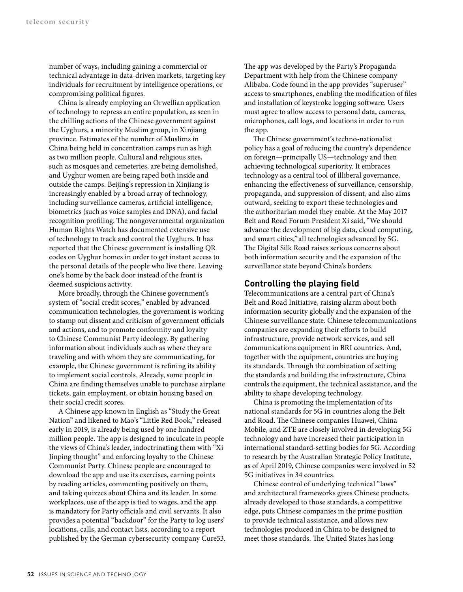number of ways, including gaining a commercial or technical advantage in data-driven markets, targeting key individuals for recruitment by intelligence operations, or compromising political figures.

China is already employing an Orwellian application of technology to repress an entire population, as seen in the chilling actions of the Chinese government against the Uyghurs, a minority Muslim group, in Xinjiang province. Estimates of the number of Muslims in China being held in concentration camps run as high as two million people. Cultural and religious sites, such as mosques and cemeteries, are being demolished, and Uyghur women are being raped both inside and outside the camps. Beijing's repression in Xinjiang is increasingly enabled by a broad array of technology, including surveillance cameras, artificial intelligence, biometrics (such as voice samples and DNA), and facial recognition profiling. The nongovernmental organization Human Rights Watch has documented extensive use of technology to track and control the Uyghurs. It has reported that the Chinese government is installing QR codes on Uyghur homes in order to get instant access to the personal details of the people who live there. Leaving one's home by the back door instead of the front is deemed suspicious activity.

More broadly, through the Chinese government's system of "social credit scores," enabled by advanced communication technologies, the government is working to stamp out dissent and criticism of government officials and actions, and to promote conformity and loyalty to Chinese Communist Party ideology. By gathering information about individuals such as where they are traveling and with whom they are communicating, for example, the Chinese government is refining its ability to implement social controls. Already, some people in China are finding themselves unable to purchase airplane tickets, gain employment, or obtain housing based on their social credit scores.

A Chinese app known in English as "Study the Great Nation" and likened to Mao's "Little Red Book," released early in 2019, is already being used by one hundred million people. The app is designed to inculcate in people the views of China's leader, indoctrinating them with "Xi Jinping thought" and enforcing loyalty to the Chinese Communist Party. Chinese people are encouraged to download the app and use its exercises, earning points by reading articles, commenting positively on them, and taking quizzes about China and its leader. In some workplaces, use of the app is tied to wages, and the app is mandatory for Party officials and civil servants. It also provides a potential "backdoor" for the Party to log users' locations, calls, and contact lists, according to a report published by the German cybersecurity company Cure53. The app was developed by the Party's Propaganda Department with help from the Chinese company Alibaba. Code found in the app provides "superuser" access to smartphones, enabling the modification of files and installation of keystroke logging software. Users must agree to allow access to personal data, cameras, microphones, call logs, and locations in order to run the app.

The Chinese government's techno-nationalist policy has a goal of reducing the country's dependence on foreign—principally US—technology and then achieving technological superiority. It embraces technology as a central tool of illiberal governance, enhancing the effectiveness of surveillance, censorship, propaganda, and suppression of dissent, and also aims outward, seeking to export these technologies and the authoritarian model they enable. At the May 2017 Belt and Road Forum President Xi said, "We should advance the development of big data, cloud computing, and smart cities," all technologies advanced by 5G. The Digital Silk Road raises serious concerns about both information security and the expansion of the surveillance state beyond China's borders.

### **Controlling the playing field**

Telecommunications are a central part of China's Belt and Road Initiative, raising alarm about both information security globally and the expansion of the Chinese surveillance state. Chinese telecommunications companies are expanding their efforts to build infrastructure, provide network services, and sell communications equipment in BRI countries. And, together with the equipment, countries are buying its standards. Through the combination of setting the standards and building the infrastructure, China controls the equipment, the technical assistance, and the ability to shape developing technology.

China is promoting the implementation of its national standards for 5G in countries along the Belt and Road. The Chinese companies Huawei, China Mobile, and ZTE are closely involved in developing 5G technology and have increased their participation in international standard-setting bodies for 5G. According to research by the Australian Strategic Policy Institute, as of April 2019, Chinese companies were involved in 52 5G initiatives in 34 countries.

Chinese control of underlying technical "laws" and architectural frameworks gives Chinese products, already developed to those standards, a competitive edge, puts Chinese companies in the prime position to provide technical assistance, and allows new technologies produced in China to be designed to meet those standards. The United States has long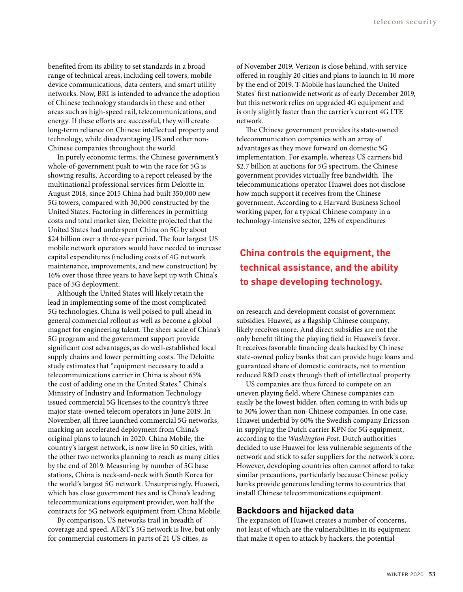benefited from its ability to set standards in a broad range of technical areas, including cell towers, mobile device communications, data centers, and smart utility networks. Now, BRI is intended to advance the adoption of Chinese technology standards in these and other areas such as high-speed rail, telecommunications, and energy. If these efforts are successful, they will create long-term reliance on Chinese intellectual property and technology, while disadvantaging US and other non-Chinese companies throughout the world.

In purely economic terms, the Chinese government's whole-of-government push to win the race for 5G is showing results. According to a report released by the multinational professional services firm Deloitte in August 2018, since 2015 China had built 350,000 new 5G towers, compared with 30,000 constructed by the United States. Factoring in differences in permitting costs and total market size, Deloitte projected that the United States had underspent China on 5G by about \$24 billion over a three-year period. The four largest US mobile network operators would have needed to increase capital expenditures (including costs of 4G network maintenance, improvements, and new construction) by 16% over those three years to have kept up with China's pace of 5G deployment.

Although the United States will likely retain the lead in implementing some of the most complicated 5G technologies, China is well poised to pull ahead in general commercial rollout as well as become a global magnet for engineering talent. The sheer scale of China's 5G program and the government support provide significant cost advantages, as do well-established local supply chains and lower permitting costs. The Deloitte study estimates that "equipment necessary to add a telecommunications carrier in China is about 65% the cost of adding one in the United States." China's Ministry of Industry and Information Technology issued commercial 5G licenses to the country's three major state-owned telecom operators in June 2019. In November, all three launched commercial 5G networks, marking an accelerated deployment from China's original plans to launch in 2020. China Mobile, the country's largest network, is now live in 50 cities, with the other two networks planning to reach as many cities by the end of 2019. Measuring by number of 5G base stations, China is neck-and-neck with South Korea for the world's largest 5G network. Unsurprisingly, Huawei, which has close government ties and is China's leading telecommunications equipment provider, won half the contracts for 5G network equipment from China Mobile.

By comparison, US networks trail in breadth of coverage and speed. AT&T's 5G network is live, but only for commercial customers in parts of 21 US cities, as

of November 2019. Verizon is close behind, with service offered in roughly 20 cities and plans to launch in 10 more by the end of 2019. T-Mobile has launched the United States' first nationwide network as of early December 2019, but this network relies on upgraded 4G equipment and is only slightly faster than the carrier's current 4G LTE network.

The Chinese government provides its state-owned telecommunication companies with an array of advantages as they move forward on domestic 5G implementation. For example, whereas US carriers bid \$2.7 billion at auctions for 5G spectrum, the Chinese government provides virtually free bandwidth. The telecommunications operator Huawei does not disclose how much support it receives from the Chinese government. According to a Harvard Business School working paper, for a typical Chinese company in a technology-intensive sector, 22% of expenditures

## **China controls the equipment, the technical assistance, and the ability to shape developing technology.**

on research and development consist of government subsidies. Huawei, as a flagship Chinese company, likely receives more. And direct subsidies are not the only benefit tilting the playing field in Huawei's favor. It receives favorable financing deals backed by Chinese state-owned policy banks that can provide huge loans and guaranteed share of domestic contracts, not to mention reduced R&D costs through theft of intellectual property.

US companies are thus forced to compete on an uneven playing field, where Chinese companies can easily be the lowest bidder, often coming in with bids up to 30% lower than non-Chinese companies. In one case, Huawei underbid by 60% the Swedish company Ericsson in supplying the Dutch carrier KPN for 5G equipment, according to the *Washington Post*. Dutch authorities decided to use Huawei for less vulnerable segments of the network and stick to safer suppliers for the network's core. However, developing countries often cannot afford to take similar precautions, particularly because Chinese policy banks provide generous lending terms to countries that install Chinese telecommunications equipment.

#### **Backdoors and hijacked data**

The expansion of Huawei creates a number of concerns, not least of which are the vulnerabilities in its equipment that make it open to attack by hackers, the potential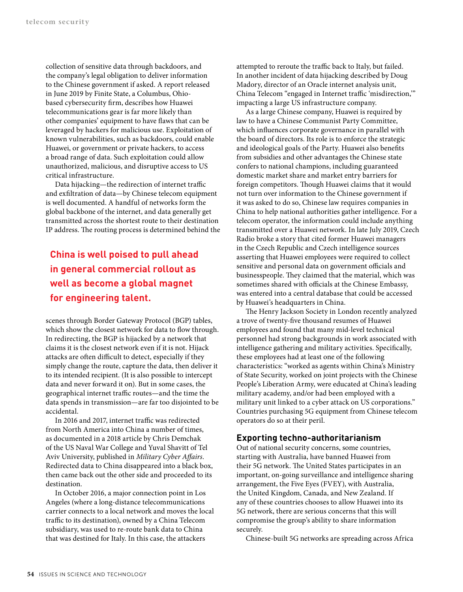collection of sensitive data through backdoors, and the company's legal obligation to deliver information to the Chinese government if asked. A report released in June 2019 by Finite State, a Columbus, Ohiobased cybersecurity firm, describes how Huawei telecommunications gear is far more likely than other companies' equipment to have flaws that can be leveraged by hackers for malicious use. Exploitation of known vulnerabilities, such as backdoors, could enable Huawei, or government or private hackers, to access a broad range of data. Such exploitation could allow unauthorized, malicious, and disruptive access to US critical infrastructure.

Data hijacking—the redirection of internet traffic and exfiltration of data—by Chinese telecom equipment is well documented. A handful of networks form the global backbone of the internet, and data generally get transmitted across the shortest route to their destination IP address. The routing process is determined behind the

# **China is well poised to pull ahead in general commercial rollout as well as become a global magnet for engineering talent.**

scenes through Border Gateway Protocol (BGP) tables, which show the closest network for data to flow through. In redirecting, the BGP is hijacked by a network that claims it is the closest network even if it is not. Hijack attacks are often difficult to detect, especially if they simply change the route, capture the data, then deliver it to its intended recipient. (It is also possible to intercept data and never forward it on). But in some cases, the geographical internet traffic routes—and the time the data spends in transmission—are far too disjointed to be accidental.

In 2016 and 2017, internet traffic was redirected from North America into China a number of times, as documented in a 2018 article by Chris Demchak of the US Naval War College and Yuval Shavitt of Tel Aviv University, published in *Military Cyber Affairs*. Redirected data to China disappeared into a black box, then came back out the other side and proceeded to its destination.

In October 2016, a major connection point in Los Angeles (where a long-distance telecommunications carrier connects to a local network and moves the local traffic to its destination), owned by a China Telecom subsidiary, was used to re-route bank data to China that was destined for Italy. In this case, the attackers

attempted to reroute the traffic back to Italy, but failed. In another incident of data hijacking described by Doug Madory, director of an Oracle internet analysis unit, China Telecom "engaged in Internet traffic 'misdirection,'" impacting a large US infrastructure company.

As a large Chinese company, Huawei is required by law to have a Chinese Communist Party Committee, which influences corporate governance in parallel with the board of directors. Its role is to enforce the strategic and ideological goals of the Party. Huawei also benefits from subsidies and other advantages the Chinese state confers to national champions, including guaranteed domestic market share and market entry barriers for foreign competitors. Though Huawei claims that it would not turn over information to the Chinese government if it was asked to do so, Chinese law requires companies in China to help national authorities gather intelligence. For a telecom operator, the information could include anything transmitted over a Huawei network. In late July 2019, Czech Radio broke a story that cited former Huawei managers in the Czech Republic and Czech intelligence sources asserting that Huawei employees were required to collect sensitive and personal data on government officials and businesspeople. They claimed that the material, which was sometimes shared with officials at the Chinese Embassy, was entered into a central database that could be accessed by Huawei's headquarters in China.

The Henry Jackson Society in London recently analyzed a trove of twenty-five thousand resumes of Huawei employees and found that many mid-level technical personnel had strong backgrounds in work associated with intelligence gathering and military activities. Specifically, these employees had at least one of the following characteristics: "worked as agents within China's Ministry of State Security, worked on joint projects with the Chinese People's Liberation Army, were educated at China's leading military academy, and/or had been employed with a military unit linked to a cyber attack on US corporations." Countries purchasing 5G equipment from Chinese telecom operators do so at their peril.

## **Exporting techno-authoritarianism**

Out of national security concerns, some countries, starting with Australia, have banned Huawei from their 5G network. The United States participates in an important, on-going surveillance and intelligence sharing arrangement, the Five Eyes (FVEY), with Australia, the United Kingdom, Canada, and New Zealand. If any of these countries chooses to allow Huawei into its 5G network, there are serious concerns that this will compromise the group's ability to share information securely.

Chinese-built 5G networks are spreading across Africa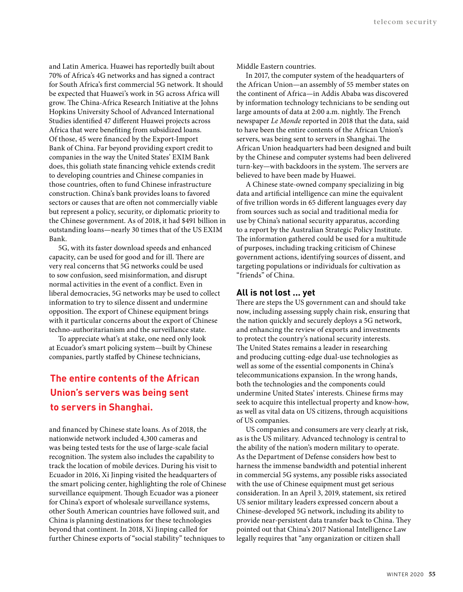and Latin America. Huawei has reportedly built about 70% of Africa's 4G networks and has signed a contract for South Africa's first commercial 5G network. It should be expected that Huawei's work in 5G across Africa will grow. The China-Africa Research Initiative at the Johns Hopkins University School of Advanced International Studies identified 47 different Huawei projects across Africa that were benefiting from subsidized loans. Of those, 45 were financed by the Export-Import Bank of China. Far beyond providing export credit to companies in the way the United States' EXIM Bank does, this goliath state financing vehicle extends credit to developing countries and Chinese companies in those countries, often to fund Chinese infrastructure construction. China's bank provides loans to favored sectors or causes that are often not commercially viable but represent a policy, security, or diplomatic priority to the Chinese government. As of 2018, it had \$491 billion in outstanding loans—nearly 30 times that of the US EXIM Bank.

5G, with its faster download speeds and enhanced capacity, can be used for good and for ill. There are very real concerns that 5G networks could be used to sow confusion, seed misinformation, and disrupt normal activities in the event of a conflict. Even in liberal democracies, 5G networks may be used to collect information to try to silence dissent and undermine opposition. The export of Chinese equipment brings with it particular concerns about the export of Chinese techno-authoritarianism and the surveillance state.

To appreciate what's at stake, one need only look at Ecuador's smart policing system—built by Chinese companies, partly staffed by Chinese technicians,

# **The entire contents of the African Union's servers was being sent to servers in Shanghai.**

and financed by Chinese state loans. As of 2018, the nationwide network included 4,300 cameras and was being tested tests for the use of large-scale facial recognition. The system also includes the capability to track the location of mobile devices. During his visit to Ecuador in 2016, Xi Jinping visited the headquarters of the smart policing center, highlighting the role of Chinese surveillance equipment. Though Ecuador was a pioneer for China's export of wholesale surveillance systems, other South American countries have followed suit, and China is planning destinations for these technologies beyond that continent. In 2018, Xi Jinping called for further Chinese exports of "social stability" techniques to

Middle Eastern countries.

In 2017, the computer system of the headquarters of the African Union—an assembly of 55 member states on the continent of Africa—in Addis Ababa was discovered by information technology technicians to be sending out large amounts of data at 2:00 a.m. nightly. The French newspaper *Le Monde* reported in 2018 that the data, said to have been the entire contents of the African Union's servers, was being sent to servers in Shanghai. The African Union headquarters had been designed and built by the Chinese and computer systems had been delivered turn-key—with backdoors in the system. The servers are believed to have been made by Huawei.

A Chinese state-owned company specializing in big data and artificial intelligence can mine the equivalent of five trillion words in 65 different languages every day from sources such as social and traditional media for use by China's national security apparatus, according to a report by the Australian Strategic Policy Institute. The information gathered could be used for a multitude of purposes, including tracking criticism of Chinese government actions, identifying sources of dissent, and targeting populations or individuals for cultivation as "friends" of China.

#### **All is not lost ... yet**

There are steps the US government can and should take now, including assessing supply chain risk, ensuring that the nation quickly and securely deploys a 5G network, and enhancing the review of exports and investments to protect the country's national security interests. The United States remains a leader in researching and producing cutting-edge dual-use technologies as well as some of the essential components in China's telecommunications expansion. In the wrong hands, both the technologies and the components could undermine United States' interests. Chinese firms may seek to acquire this intellectual property and know-how, as well as vital data on US citizens, through acquisitions of US companies.

US companies and consumers are very clearly at risk, as is the US military. Advanced technology is central to the ability of the nation's modern military to operate. As the Department of Defense considers how best to harness the immense bandwidth and potential inherent in commercial 5G systems, any possible risks associated with the use of Chinese equipment must get serious consideration. In an April 3, 2019, statement, six retired US senior military leaders expressed concern about a Chinese-developed 5G network, including its ability to provide near-persistent data transfer back to China. They pointed out that China's 2017 National Intelligence Law legally requires that "any organization or citizen shall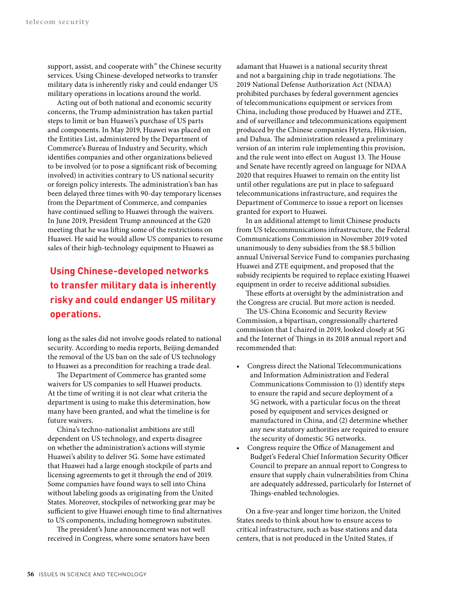support, assist, and cooperate with" the Chinese security services. Using Chinese-developed networks to transfer military data is inherently risky and could endanger US military operations in locations around the world.

Acting out of both national and economic security concerns, the Trump administration has taken partial steps to limit or ban Huawei's purchase of US parts and components. In May 2019, Huawei was placed on the Entities List, administered by the Department of Commerce's Bureau of Industry and Security, which identifies companies and other organizations believed to be involved (or to pose a significant risk of becoming involved) in activities contrary to US national security or foreign policy interests. The administration's ban has been delayed three times with 90-day temporary licenses from the Department of Commerce, and companies have continued selling to Huawei through the waivers. In June 2019, President Trump announced at the G20 meeting that he was lifting some of the restrictions on Huawei. He said he would allow US companies to resume sales of their high-technology equipment to Huawei as

# **Using Chinese-developed networks to transfer military data is inherently risky and could endanger US military operations.**

long as the sales did not involve goods related to national security. According to media reports, Beijing demanded the removal of the US ban on the sale of US technology to Huawei as a precondition for reaching a trade deal.

The Department of Commerce has granted some waivers for US companies to sell Huawei products. At the time of writing it is not clear what criteria the department is using to make this determination, how many have been granted, and what the timeline is for future waivers.

China's techno-nationalist ambitions are still dependent on US technology, and experts disagree on whether the administration's actions will stymie Huawei's ability to deliver 5G. Some have estimated that Huawei had a large enough stockpile of parts and licensing agreements to get it through the end of 2019. Some companies have found ways to sell into China without labeling goods as originating from the United States. Moreover, stockpiles of networking gear may be sufficient to give Huawei enough time to find alternatives to US components, including homegrown substitutes.

The president's June announcement was not well received in Congress, where some senators have been adamant that Huawei is a national security threat and not a bargaining chip in trade negotiations. The 2019 National Defense Authorization Act (NDAA) prohibited purchases by federal government agencies of telecommunications equipment or services from China, including those produced by Huawei and ZTE, and of surveillance and telecommunications equipment produced by the Chinese companies Hytera, Hikvision, and Dahua. The administration released a preliminary version of an interim rule implementing this provision, and the rule went into effect on August 13. The House and Senate have recently agreed on language for NDAA 2020 that requires Huawei to remain on the entity list until other regulations are put in place to safeguard telecommunications infrastructure, and requires the Department of Commerce to issue a report on licenses granted for export to Huawei.

In an additional attempt to limit Chinese products from US telecommunications infrastructure, the Federal Communications Commission in November 2019 voted unanimously to deny subsidies from the \$8.5 billion annual Universal Service Fund to companies purchasing Huawei and ZTE equipment, and proposed that the subsidy recipients be required to replace existing Huawei equipment in order to receive additional subsidies.

These efforts at oversight by the administration and the Congress are crucial. But more action is needed.

The US-China Economic and Security Review Commission, a bipartisan, congressionally chartered commission that I chaired in 2019, looked closely at 5G and the Internet of Things in its 2018 annual report and recommended that:

- Congress direct the National Telecommunications and Information Administration and Federal Communications Commission to (1) identify steps to ensure the rapid and secure deployment of a 5G network, with a particular focus on the threat posed by equipment and services designed or manufactured in China, and (2) determine whether any new statutory authorities are required to ensure the security of domestic 5G networks.
- Congress require the Office of Management and Budget's Federal Chief Information Security Officer Council to prepare an annual report to Congress to ensure that supply chain vulnerabilities from China are adequately addressed, particularly for Internet of Things-enabled technologies.

On a five-year and longer time horizon, the United States needs to think about how to ensure access to critical infrastructure, such as base stations and data centers, that is not produced in the United States, if